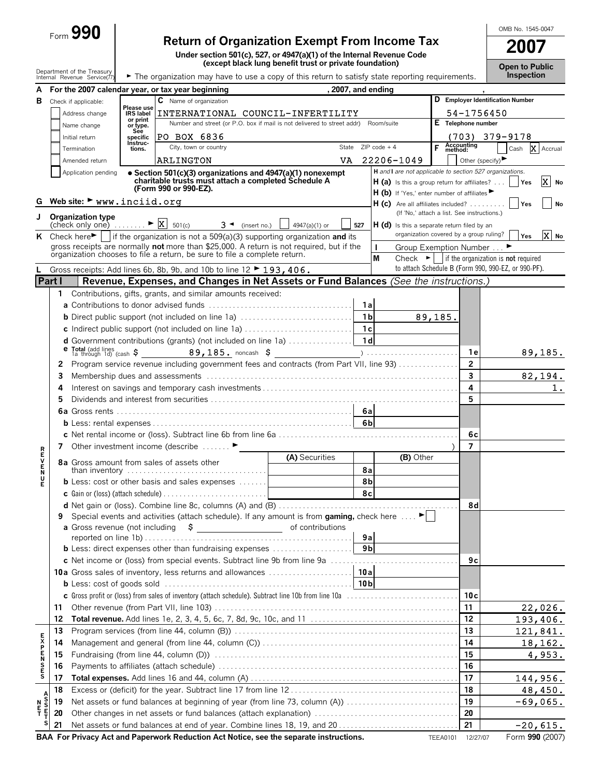| ⊢orm | х |
|------|---|
| ب    | υ |

# **Return of Organization Exempt From Income Tax**

OMB No. 1545-0047

| <b>Open to Public</b> |
|-----------------------|
| <b>Inspection</b>     |

|                       |          | ⊧orm ✔✔♥                                                                            |                              | <b>Return of Organization Exempt From Income Tax</b>                                                                                                                  |                                                         |                |                     |                                                                                    |                 |                       |                    | 2007                                                                                                                   |                  |
|-----------------------|----------|-------------------------------------------------------------------------------------|------------------------------|-----------------------------------------------------------------------------------------------------------------------------------------------------------------------|---------------------------------------------------------|----------------|---------------------|------------------------------------------------------------------------------------|-----------------|-----------------------|--------------------|------------------------------------------------------------------------------------------------------------------------|------------------|
|                       |          |                                                                                     |                              | Under section 501(c), 527, or 4947(a)(1) of the Internal Revenue Code                                                                                                 |                                                         |                |                     |                                                                                    |                 |                       |                    |                                                                                                                        |                  |
|                       |          | Department of the Treasury                                                          |                              |                                                                                                                                                                       | (except black lung benefit trust or private foundation) |                |                     |                                                                                    |                 |                       |                    | <b>Open to Public</b><br><b>Inspection</b>                                                                             |                  |
|                       |          | Internal Revenue Service(77)                                                        |                              | The organization may have to use a copy of this return to satisfy state reporting requirements.                                                                       |                                                         |                |                     |                                                                                    |                 |                       |                    |                                                                                                                        |                  |
|                       |          |                                                                                     |                              | For the 2007 calendar year, or tax year beginning                                                                                                                     |                                                         |                | . 2007. and ending  |                                                                                    |                 |                       |                    | D Employer Identification Number                                                                                       |                  |
| в                     |          | Check if applicable:                                                                | Please use                   | C Name of organization                                                                                                                                                |                                                         |                |                     |                                                                                    |                 |                       |                    |                                                                                                                        |                  |
|                       |          | Address change                                                                      | <b>IRS</b> label<br>or print | INTERNATIONAL COUNCIL-INFERTILITY<br>Number and street (or P.O. box if mail is not delivered to street addr) Room/suite                                               |                                                         |                |                     |                                                                                    |                 |                       | E Telephone number | 54-1756450                                                                                                             |                  |
|                       |          | Name change                                                                         | or type.<br>See              |                                                                                                                                                                       |                                                         |                |                     |                                                                                    |                 |                       |                    |                                                                                                                        |                  |
|                       |          | Initial return                                                                      | specific<br>Instruc-         | PO BOX 6836<br>City, town or country                                                                                                                                  |                                                         |                | State $ZIPcode + 4$ |                                                                                    | F               | Accounting<br>method: |                    | $(703)$ 379-9178<br>Cash                                                                                               | X Accrual        |
|                       |          | Termination<br>Amended return                                                       | tions.                       | ARLINGTON                                                                                                                                                             | VA                                                      |                |                     | 22206-1049                                                                         |                 |                       |                    | Other (specify) $\blacktriangleright$                                                                                  |                  |
|                       |          | Application pending                                                                 |                              | • Section 501(c)(3) organizations and 4947(a)(1) nonexempt                                                                                                            |                                                         |                |                     |                                                                                    |                 |                       |                    | H and I are not applicable to section 527 organizations.                                                               |                  |
|                       |          |                                                                                     |                              | charitable trusts must attach a completed Schedule A                                                                                                                  |                                                         |                |                     | $H(a)$ is this a group return for affiliates?                                      |                 |                       |                    | <b>Yes</b>                                                                                                             | X<br>No          |
|                       |          |                                                                                     |                              | (Form 990 or 990-EZ).                                                                                                                                                 |                                                         |                |                     | H (b) If 'Yes,' enter number of affiliates                                         |                 |                       |                    |                                                                                                                        |                  |
|                       |          | Web site: $\blacktriangleright$ www.inciid.org                                      |                              |                                                                                                                                                                       |                                                         |                |                     | $H(c)$ Are all affiliates included?<br>(If 'No,' attach a list. See instructions.) |                 |                       |                    | l Yes                                                                                                                  | No               |
| J                     |          | Organization type<br>$\text{Check only one}$ $\blacktriangleright \boxed{X}$ 501(c) |                              | $3 \triangleleft$ (insert no.)                                                                                                                                        | 4947(a)(1) or                                           | 527            |                     | $H(d)$ is this a separate return filed by an                                       |                 |                       |                    |                                                                                                                        |                  |
|                       |          |                                                                                     |                              | K Check here $\blacktriangleright$   if the organization is not a 509(a)(3) supporting organization and its                                                           |                                                         |                |                     | organization covered by a group ruling?                                            |                 |                       |                    | Yes                                                                                                                    | lx١<br><b>No</b> |
|                       |          |                                                                                     |                              | gross receipts are normally not more than \$25,000. A return is not required, but if the<br>organization chooses to file a return, be sure to file a complete return. |                                                         |                | L                   | Group Exemption Number ▶                                                           |                 |                       |                    |                                                                                                                        |                  |
|                       |          |                                                                                     |                              | Gross receipts: Add lines 6b, 8b, 9b, and 10b to line 12 ► 193, 406.                                                                                                  |                                                         |                | M                   |                                                                                    |                 |                       |                    | Check $\blacktriangleright$ if the organization is not required<br>to attach Schedule B (Form 990, 990-EZ, or 990-PF). |                  |
| Part I                |          |                                                                                     |                              | Revenue, Expenses, and Changes in Net Assets or Fund Balances (See the instructions.)                                                                                 |                                                         |                |                     |                                                                                    |                 |                       |                    |                                                                                                                        |                  |
|                       | 1.       |                                                                                     |                              | Contributions, gifts, grants, and similar amounts received:                                                                                                           |                                                         |                |                     |                                                                                    |                 |                       |                    |                                                                                                                        |                  |
|                       |          |                                                                                     |                              |                                                                                                                                                                       |                                                         | 1a             |                     |                                                                                    |                 |                       |                    |                                                                                                                        |                  |
|                       |          |                                                                                     |                              | <b>b</b> Direct public support (not included on line 1a)                                                                                                              |                                                         | 1 <sub>b</sub> |                     |                                                                                    | 89,185.         |                       |                    |                                                                                                                        |                  |
|                       |          |                                                                                     |                              | c Indirect public support (not included on line 1a)                                                                                                                   |                                                         | 1c             |                     |                                                                                    |                 |                       |                    |                                                                                                                        |                  |
|                       |          |                                                                                     |                              | <b>d</b> Government contributions (grants) (not included on line 1a) $\ldots$                                                                                         |                                                         | 1d             |                     |                                                                                    |                 |                       |                    |                                                                                                                        |                  |
|                       |          |                                                                                     |                              |                                                                                                                                                                       |                                                         |                |                     |                                                                                    |                 |                       | 1е                 |                                                                                                                        | 89,185.          |
|                       | 2        |                                                                                     |                              | Program service revenue including government fees and contracts (from Part VII, line 93)                                                                              |                                                         |                |                     |                                                                                    |                 |                       | $\overline{2}$     |                                                                                                                        |                  |
|                       | 3        |                                                                                     |                              |                                                                                                                                                                       |                                                         |                |                     |                                                                                    |                 |                       | 3                  |                                                                                                                        | 82,194.          |
|                       | 4        |                                                                                     |                              |                                                                                                                                                                       |                                                         |                |                     |                                                                                    |                 |                       | 4                  |                                                                                                                        | 1.               |
|                       | 5        |                                                                                     |                              |                                                                                                                                                                       |                                                         |                |                     |                                                                                    |                 |                       | 5                  |                                                                                                                        |                  |
|                       |          |                                                                                     |                              |                                                                                                                                                                       |                                                         | 6al            |                     |                                                                                    |                 |                       |                    |                                                                                                                        |                  |
|                       |          | 6 <sub>b</sub>                                                                      |                              |                                                                                                                                                                       |                                                         |                |                     | 6c                                                                                 |                 |                       |                    |                                                                                                                        |                  |
|                       |          |                                                                                     |                              | 7 Other investment income (describe                                                                                                                                   |                                                         |                |                     |                                                                                    |                 |                       | 7                  |                                                                                                                        |                  |
| <b>RHVEN</b>          |          |                                                                                     |                              | 8a Gross amount from sales of assets other                                                                                                                            | (A) Securities                                          |                |                     | (B) Other                                                                          |                 |                       |                    |                                                                                                                        |                  |
|                       |          |                                                                                     |                              | than inventory                                                                                                                                                        |                                                         | 8a             |                     |                                                                                    |                 |                       |                    |                                                                                                                        |                  |
| Ľ                     |          |                                                                                     |                              | <b>b</b> Less: cost or other basis and sales expenses $\dots$                                                                                                         |                                                         | 8 <sub>b</sub> |                     |                                                                                    |                 |                       |                    |                                                                                                                        |                  |
|                       |          |                                                                                     |                              |                                                                                                                                                                       |                                                         | 8c             |                     |                                                                                    |                 |                       |                    |                                                                                                                        |                  |
|                       |          |                                                                                     |                              |                                                                                                                                                                       |                                                         |                |                     |                                                                                    |                 |                       | 8d                 |                                                                                                                        |                  |
|                       | 9        |                                                                                     |                              | Special events and activities (attach schedule). If any amount is from gaming, check here $\dots$ .                                                                   |                                                         |                |                     |                                                                                    |                 |                       |                    |                                                                                                                        |                  |
|                       |          |                                                                                     |                              |                                                                                                                                                                       |                                                         | 9a             |                     |                                                                                    |                 |                       |                    |                                                                                                                        |                  |
|                       |          |                                                                                     |                              | <b>b</b> Less: direct expenses other than fundraising expenses                                                                                                        |                                                         | 9bl            |                     |                                                                                    |                 |                       |                    |                                                                                                                        |                  |
|                       |          |                                                                                     |                              |                                                                                                                                                                       |                                                         |                |                     |                                                                                    |                 |                       | 9с                 |                                                                                                                        |                  |
|                       |          |                                                                                     |                              |                                                                                                                                                                       |                                                         |                |                     |                                                                                    |                 |                       |                    |                                                                                                                        |                  |
|                       |          |                                                                                     |                              |                                                                                                                                                                       |                                                         |                |                     |                                                                                    |                 |                       |                    |                                                                                                                        |                  |
|                       |          |                                                                                     |                              |                                                                                                                                                                       |                                                         |                |                     |                                                                                    |                 |                       | 10c                |                                                                                                                        |                  |
|                       | 11       |                                                                                     |                              |                                                                                                                                                                       |                                                         |                |                     |                                                                                    |                 |                       | 11                 |                                                                                                                        | 22,026.          |
|                       | 12       |                                                                                     |                              |                                                                                                                                                                       |                                                         |                |                     |                                                                                    |                 |                       | 12                 |                                                                                                                        | 193,406.         |
|                       | 13       |                                                                                     |                              |                                                                                                                                                                       |                                                         |                |                     |                                                                                    |                 |                       | 13<br>14           |                                                                                                                        | 121,841.         |
| <b>SESPENS</b>        | 14       |                                                                                     |                              |                                                                                                                                                                       |                                                         |                |                     |                                                                                    |                 |                       | 15                 |                                                                                                                        | 18,162.          |
|                       | 15<br>16 |                                                                                     |                              |                                                                                                                                                                       |                                                         |                |                     |                                                                                    |                 |                       | 16                 |                                                                                                                        | 4,953.           |
|                       | 17       |                                                                                     |                              |                                                                                                                                                                       |                                                         |                |                     |                                                                                    |                 |                       | 17                 |                                                                                                                        | 144,956.         |
|                       | 18       |                                                                                     |                              |                                                                                                                                                                       |                                                         |                |                     |                                                                                    |                 |                       | 18                 |                                                                                                                        | 48,450.          |
| A<br>S<br>S<br>E<br>T | 19       |                                                                                     |                              | Net assets or fund balances at beginning of year (from line 73, column (A))                                                                                           |                                                         |                |                     |                                                                                    |                 |                       | 19                 |                                                                                                                        | $-69,065.$       |
| N<br>F<br>T           | 20       |                                                                                     |                              |                                                                                                                                                                       |                                                         |                |                     |                                                                                    |                 |                       | 20                 |                                                                                                                        |                  |
| s                     | 21       |                                                                                     |                              |                                                                                                                                                                       |                                                         |                |                     |                                                                                    |                 |                       | 21                 |                                                                                                                        | $-20,615.$       |
|                       |          |                                                                                     |                              | BAA For Privacy Act and Paperwork Reduction Act Notice, see the separate instructions.                                                                                |                                                         |                |                     |                                                                                    | <b>TEEA0101</b> |                       | 12/27/07           | Form 990 (2007)                                                                                                        |                  |
|                       |          |                                                                                     |                              |                                                                                                                                                                       |                                                         |                |                     |                                                                                    |                 |                       |                    |                                                                                                                        |                  |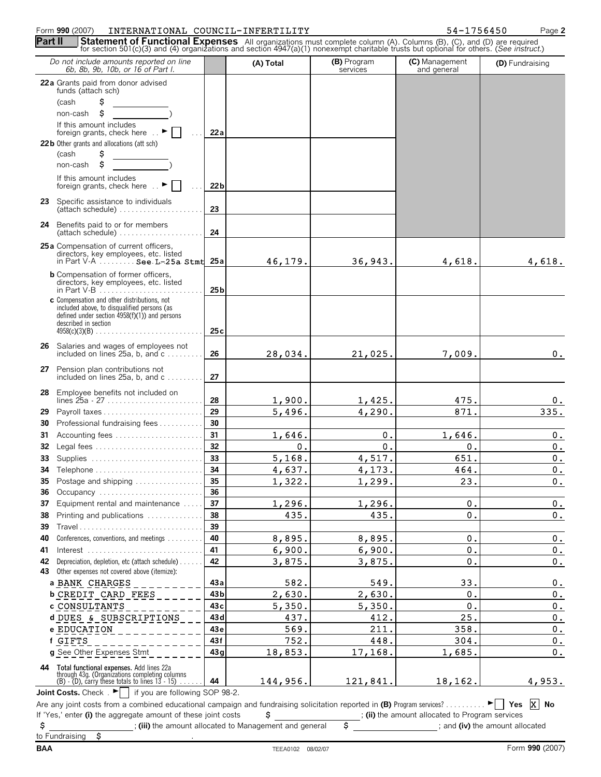### Form **990** (2007) INTERNATIONAL COUNCIL-INFERTILITY 54-1756450 Page **2** INTERNATIONAL COUNCIL-INFERTILITY 54-1756450

| Do not include amounts reported on line<br>6b, 8b, 9b, 10b, or 16 of Part I.                                                                            |                 | (A) Total | (B) Program<br>services | (C) Management<br>and general                   | (D) Fundraising       |
|---------------------------------------------------------------------------------------------------------------------------------------------------------|-----------------|-----------|-------------------------|-------------------------------------------------|-----------------------|
| 22a Grants paid from donor advised<br>funds (attach sch)                                                                                                |                 |           |                         |                                                 |                       |
| \$<br>(cash                                                                                                                                             |                 |           |                         |                                                 |                       |
| \$<br>non-cash                                                                                                                                          |                 |           |                         |                                                 |                       |
| If this amount includes                                                                                                                                 |                 |           |                         |                                                 |                       |
| foreign grants, check here                                                                                                                              | 22a             |           |                         |                                                 |                       |
| 22 b Other grants and allocations (att sch)                                                                                                             |                 |           |                         |                                                 |                       |
| \$<br>(cash                                                                                                                                             |                 |           |                         |                                                 |                       |
| \$<br>non-cash                                                                                                                                          |                 |           |                         |                                                 |                       |
| If this amount includes<br>foreign grants, check here  ►                                                                                                | 22 <sub>b</sub> |           |                         |                                                 |                       |
| 23 Specific assistance to individuals<br>(attach schedule)                                                                                              | 23              |           |                         |                                                 |                       |
| Benefits paid to or for members<br>24<br>(attach schedule)                                                                                              | 24              |           |                         |                                                 |                       |
| 25 a Compensation of current officers,                                                                                                                  |                 |           |                         |                                                 |                       |
| directors, key employees, etc. listed<br>in Part $V-A$ See $L-25a$ Stmt                                                                                 | 25a             | 46,179.   | 36,943.                 | 4,618.                                          | 4,618.                |
| <b>b</b> Compensation of former officers,                                                                                                               |                 |           |                         |                                                 |                       |
| directors, key employees, etc. listed                                                                                                                   | 25 <sub>b</sub> |           |                         |                                                 |                       |
| c Compensation and other distributions, not<br>included above, to disqualified persons (as                                                              |                 |           |                         |                                                 |                       |
| defined under section $4958(f)(1)$ ) and persons                                                                                                        |                 |           |                         |                                                 |                       |
| described in section<br>$4958(c)(3)(B)$                                                                                                                 | 25c             |           |                         |                                                 |                       |
|                                                                                                                                                         |                 |           |                         |                                                 |                       |
| 26 Salaries and wages of employees not<br>included on lines $25a$ , b, and $c$                                                                          | 26              | 28,034.   | 21,025.                 | 7,009.                                          | 0.                    |
|                                                                                                                                                         |                 |           |                         |                                                 |                       |
| 27 Pension plan contributions not<br>included on lines 25a, b, and c                                                                                    | 27              |           |                         |                                                 |                       |
| <b>28</b> Employee benefits not included on                                                                                                             | 28              | 1,900.    | 1,425.                  | 475.                                            | 0.                    |
| 29                                                                                                                                                      | 29              | 5,496.    | 4,290.                  | 871.                                            | 335.                  |
| Professional fundraising fees<br>30                                                                                                                     | 30              |           |                         |                                                 |                       |
| 31                                                                                                                                                      | 31              | 1,646.    | 0.                      | 1,646.                                          | 0.                    |
| 32                                                                                                                                                      | 32              | 0.        | 0.                      | 0.                                              | 0.                    |
| 33                                                                                                                                                      | 33              | 5,168.    | 4,517.                  | 651.                                            | $0$ .                 |
| 34                                                                                                                                                      | 34              | 4,637.    | 4,173.                  | 464.                                            | 0.                    |
| Postage and shipping<br>35                                                                                                                              | 35              | 1,322.    | 1,299.                  | 23.                                             | 0.                    |
| 36<br>Occupancy                                                                                                                                         | 36              |           |                         |                                                 |                       |
| Equipment rental and maintenance<br>37                                                                                                                  | 37              | 1,296.    | 1,296.                  | 0.                                              | 0.                    |
| Printing and publications<br>38                                                                                                                         | 38              | 435.      | 435.                    | 0.                                              | $\mathfrak o$ .       |
| Travel<br>39                                                                                                                                            | 39              |           |                         |                                                 |                       |
| Conferences, conventions, and meetings<br>40                                                                                                            | 40              | 8,895.    | 8,895.                  | $\mathfrak{o}$ .                                | 0.                    |
| 41                                                                                                                                                      | 41              | 6,900.    | 6,900.                  | 0.                                              | 0.                    |
| Depreciation, depletion, etc (attach schedule)<br>42                                                                                                    | 42              | 3,875.    | 3,875.                  | $\mathbf 0$ .                                   | 0.                    |
| Other expenses not covered above (itemize):<br>43                                                                                                       |                 |           |                         |                                                 |                       |
| a BANK CHARGES                                                                                                                                          | 43 a            | 582.      | 549.                    | 33.                                             | 0.                    |
| <b>b CREDIT CARD FEES</b>                                                                                                                               | 43 b            | 2,630.    | 2,630.                  | 0.                                              | 0.                    |
| c CONSULTANTS                                                                                                                                           | 43 <sub>c</sub> | 5,350.    | 5,350.                  | 0.                                              | 0.                    |
| d DUES & SUBSCRIPTIONS                                                                                                                                  | 43d             | 437.      | 412.                    | 25.                                             | 0.                    |
| e EDUCATION                                                                                                                                             | 43e             | 569.      | 211.                    | 358.                                            | 0.                    |
| f GIFTS                                                                                                                                                 | 43f             | 752.      | 448.                    | 304.                                            | 0.                    |
| g See Other Expenses Stmt                                                                                                                               | 43g             | 18,853.   | 17,168.                 | 1,685.                                          | 0.                    |
| <b>44</b> Total functional expenses. Add lines 22a<br>through 43g. (Organizations completing columns<br>(B) - (D), carry these totals to lines 13 - 15) |                 |           |                         |                                                 |                       |
|                                                                                                                                                         | 44              | 144,956.  | 121,841.                | 18,162.                                         | 4,953.                |
| <b>Joint Costs.</b> Check $\begin{array}{ c c c c c c } \hline \end{array}$ if you are following SOP 98-2.                                              |                 |           |                         |                                                 |                       |
|                                                                                                                                                         |                 |           |                         |                                                 | $\vert x \vert$<br>No |
| If 'Yes,' enter (i) the aggregate amount of these joint costs                                                                                           |                 | \$        |                         | ; (ii) the amount allocated to Program services |                       |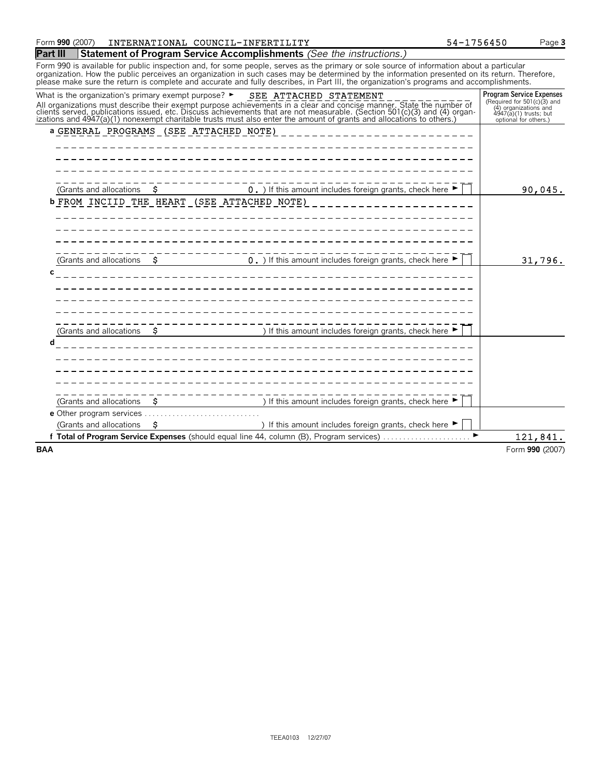| <b>Part III</b>                                                               |                     | <b>Statement of Program Service Accomplishments</b> (See the instructions.)                                                                                                                                                                                                                                                                                                                                                          |   |                                                                                                                                            |
|-------------------------------------------------------------------------------|---------------------|--------------------------------------------------------------------------------------------------------------------------------------------------------------------------------------------------------------------------------------------------------------------------------------------------------------------------------------------------------------------------------------------------------------------------------------|---|--------------------------------------------------------------------------------------------------------------------------------------------|
|                                                                               |                     | Form 990 is available for public inspection and, for some people, serves as the primary or sole source of information about a particular<br>organization. How the public perceives an organization in such cases may be determined by the information presented on its return. Therefore,<br>please make sure the return is complete and accurate and fully describes, in Part III, the organization's programs and accomplishments. |   |                                                                                                                                            |
| What is the organization's primary exempt purpose? $\blacktriangleright$      |                     | SEE ATTACHED STATEMENT<br>All organizations must describe their exempt purpose achievements in a clear and concise manner. State the number of clients served, publications issued, etc. Discuss achievements that are not measurable. (Section 501(c)(                                                                                                                                                                              |   | <b>Program Service Expenses</b><br>(Required for 501(c)(3) and<br>(4) organizations and<br>4947(a)(1) trusts; but<br>optional for others.) |
| a GENERAL PROGRAMS (SEE ATTACHED NOTE)                                        |                     |                                                                                                                                                                                                                                                                                                                                                                                                                                      |   |                                                                                                                                            |
| (Grants and allocations<br><b>b FROM INCIID THE HEART (SEE ATTACHED NOTE)</b> | -Ş                  | 0. ) If this amount includes foreign grants, check here $\blacktriangleright$                                                                                                                                                                                                                                                                                                                                                        |   | 90,045.                                                                                                                                    |
| (Grants and allocations                                                       | S.                  | 0. ) If this amount includes foreign grants, check here $\blacktriangleright$                                                                                                                                                                                                                                                                                                                                                        |   | 31,796.                                                                                                                                    |
| с                                                                             |                     |                                                                                                                                                                                                                                                                                                                                                                                                                                      |   |                                                                                                                                            |
| (Grants and allocations<br>п                                                  |                     | ) If this amount includes foreign grants, check here ▶                                                                                                                                                                                                                                                                                                                                                                               |   |                                                                                                                                            |
| (Grants and allocations                                                       | --------------<br>s | ) If this amount includes foreign grants, check here $\blacktriangleright$                                                                                                                                                                                                                                                                                                                                                           |   |                                                                                                                                            |
| (Grants and allocations                                                       | s                   | ) If this amount includes foreign grants, check here $\blacktriangleright$                                                                                                                                                                                                                                                                                                                                                           |   |                                                                                                                                            |
|                                                                               |                     | f Total of Program Service Expenses (should equal line 44, column (B), Program services)                                                                                                                                                                                                                                                                                                                                             | ▶ | 121,841.                                                                                                                                   |
| <b>BAA</b>                                                                    |                     |                                                                                                                                                                                                                                                                                                                                                                                                                                      |   | Form 990 (2007)                                                                                                                            |

Form **990** (2007) INTERNATIONAL COUNCIL-INFERTILITY 54-1756450 Page 3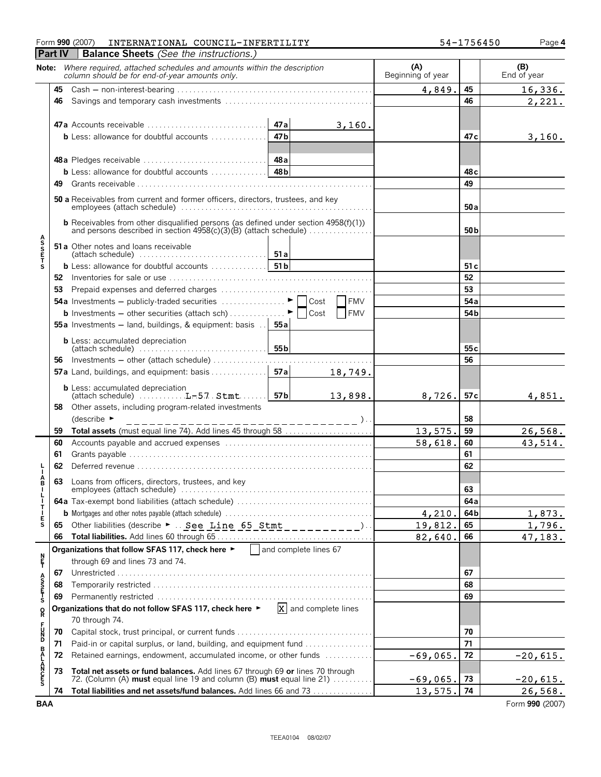|                       |                | Form 990 (2007)<br>INTERNATIONAL COUNCIL-INFERTILITY                                                                                         |                 |                                    |                          | 54-1756450      | Page 4                |
|-----------------------|----------------|----------------------------------------------------------------------------------------------------------------------------------------------|-----------------|------------------------------------|--------------------------|-----------------|-----------------------|
|                       | <b>Part IV</b> | <b>Balance Sheets</b> (See the instructions.)                                                                                                |                 |                                    |                          |                 |                       |
|                       |                | Note: Where required, attached schedules and amounts within the description<br>column should be for end-of-year amounts only.                |                 |                                    | (A)<br>Beginning of year |                 | (B)<br>End of year    |
|                       | 45             |                                                                                                                                              |                 |                                    | 4,849.                   | 45              | 16,336.               |
|                       | 46             |                                                                                                                                              |                 |                                    |                          | 46              | 2,221.                |
|                       |                |                                                                                                                                              |                 |                                    |                          |                 |                       |
|                       |                |                                                                                                                                              | 47a             | 3,160.                             |                          |                 |                       |
|                       |                | <b>b</b> Less: allowance for doubtful accounts $\ldots$                                                                                      | 47 <sub>b</sub> |                                    |                          | 47 c            | 3,160.                |
|                       |                |                                                                                                                                              |                 |                                    |                          |                 |                       |
|                       |                |                                                                                                                                              | 48 a            |                                    |                          |                 |                       |
|                       |                | <b>b</b> Less: allowance for doubtful accounts $\ldots$                                                                                      | 48 <sub>b</sub> |                                    |                          | 48 <sub>c</sub> |                       |
|                       | 49             |                                                                                                                                              |                 |                                    |                          | 49              |                       |
|                       |                | 50 a Receivables from current and former officers, directors, trustees, and key                                                              |                 |                                    |                          | 50 a            |                       |
|                       |                | <b>b</b> Receivables from other disqualified persons (as defined under section 4958(f)(1))                                                   |                 |                                    |                          | 50 <sub>b</sub> |                       |
| <b>ASSETS</b>         |                | 51 a Other notes and loans receivable<br>(attach schedule) $\ldots$ , $\ldots$ , $\ldots$ , $\ldots$ , $\ldots$ , $\ldots$ , $\blacksquare$  |                 |                                    |                          |                 |                       |
|                       |                |                                                                                                                                              |                 |                                    |                          | 51c             |                       |
|                       |                |                                                                                                                                              |                 |                                    |                          | 52              |                       |
|                       | 53             |                                                                                                                                              |                 |                                    |                          | 53              |                       |
|                       |                |                                                                                                                                              |                 | <b>FMV</b><br>Cost                 |                          | 54 a            |                       |
|                       |                | <b>b</b> Investments – other securities (attach sch) $\ldots$                                                                                |                 | <b>FMV</b><br>Cost                 |                          | 54 <sub>b</sub> |                       |
|                       |                | 55a Investments - land, buildings, & equipment: basis                                                                                        | 55 a            |                                    |                          |                 |                       |
|                       |                | <b>b</b> Less: accumulated depreciation                                                                                                      | 55 <sub>b</sub> |                                    |                          | 55 <sub>c</sub> |                       |
|                       | 56             | Investments - other (attach schedule)                                                                                                        |                 |                                    |                          | 56              |                       |
|                       |                | 57a Land, buildings, and equipment: basis                                                                                                    | 57a             | 18,749.                            |                          |                 |                       |
|                       |                | <b>b</b> Less: accumulated depreciation                                                                                                      | 57b             | 13,898.                            | 8,726.                   | 57 <sub>c</sub> | 4,851.                |
|                       | 58             | Other assets, including program-related investments                                                                                          |                 |                                    |                          |                 |                       |
|                       |                | (describe $\blacktriangleright$                                                                                                              |                 | $------$ )                         |                          | 58              |                       |
|                       | 59             | Total assets (must equal line 74). Add lines 45 through 58                                                                                   |                 |                                    | 13,575.                  | 59              | 26,568.               |
|                       | 60             |                                                                                                                                              |                 |                                    | 58,618.                  | 60              | 43,514.               |
|                       | 61<br>62       |                                                                                                                                              |                 |                                    |                          | 61<br>62        |                       |
|                       |                |                                                                                                                                              |                 |                                    |                          |                 |                       |
|                       | 63             | Loans from officers, directors, trustees, and key                                                                                            |                 |                                    |                          | 63              |                       |
|                       |                |                                                                                                                                              |                 |                                    |                          | 64a             |                       |
| <b>BILITIES</b>       |                |                                                                                                                                              |                 |                                    | 4,210.                   | 64b             | 1,873.                |
|                       | 65             | Other liabilities (describe $\blacktriangleright$ See Line 65 Stmt __________).                                                              |                 |                                    | 19,812.                  | 65              | 1,796.                |
|                       | 66             |                                                                                                                                              |                 |                                    | 82,640.                  | 66              | 47,183.               |
|                       |                | Organizations that follow SFAS 117, check here $\blacktriangleright$   and complete lines 67                                                 |                 |                                    |                          |                 |                       |
| n<br>F                |                | through 69 and lines 73 and 74.                                                                                                              |                 |                                    |                          |                 |                       |
|                       | 67             |                                                                                                                                              |                 |                                    |                          | 67              |                       |
| A<br>S<br>T<br>T<br>S | 68             |                                                                                                                                              |                 |                                    |                          | 68              |                       |
|                       | 69             |                                                                                                                                              |                 |                                    |                          | 69              |                       |
| R                     |                | Organizations that do not follow SFAS 117, check here ►<br>70 through 74.                                                                    |                 | $\vert x \vert$ and complete lines |                          |                 |                       |
| <b>PD20</b>           | 70             |                                                                                                                                              |                 | 70                                 |                          |                 |                       |
|                       | 71             | Paid-in or capital surplus, or land, building, and equipment fund                                                                            |                 |                                    |                          | 71              |                       |
|                       | 72             | Retained earnings, endowment, accumulated income, or other funds                                                                             |                 |                                    | $-69,065.$               | 72              | $-20,615.$            |
| <b>BALANCES</b>       | 73             | Total net assets or fund balances. Add lines 67 through 69 or lines 70 through                                                               |                 |                                    |                          |                 |                       |
|                       | 74             | 72. (Column (A) must equal line 19 and column (B) must equal line 21)<br>Total liabilities and net assets/fund balances. Add lines 66 and 73 |                 |                                    | $-69,065.$<br>13,575.    | 73<br>74        | $-20,615.$<br>26,568. |
| <b>BAA</b>            |                |                                                                                                                                              |                 |                                    |                          |                 | Form 990 (2007)       |
|                       |                |                                                                                                                                              |                 |                                    |                          |                 |                       |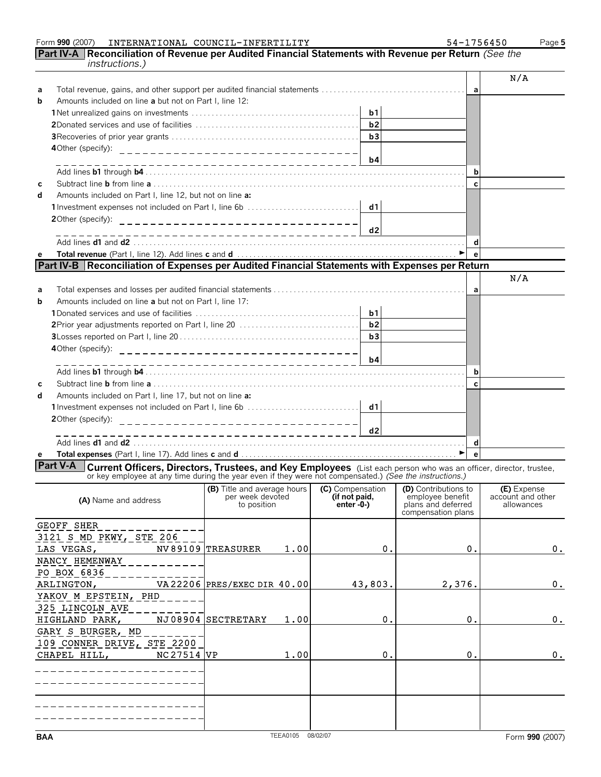|            | <b>Part IV-A</b>   Reconciliation of Revenue per Audited Financial Statements with Revenue per Return (See the<br><i>instructions.)</i>                                                                                                             |                                                                   |                                   |                                        |                                 |
|------------|-----------------------------------------------------------------------------------------------------------------------------------------------------------------------------------------------------------------------------------------------------|-------------------------------------------------------------------|-----------------------------------|----------------------------------------|---------------------------------|
|            |                                                                                                                                                                                                                                                     |                                                                   |                                   |                                        | N/A                             |
| a          |                                                                                                                                                                                                                                                     |                                                                   |                                   | a                                      |                                 |
| b          | Amounts included on line a but not on Part I, line 12:                                                                                                                                                                                              |                                                                   |                                   |                                        |                                 |
|            |                                                                                                                                                                                                                                                     |                                                                   | b1                                |                                        |                                 |
|            |                                                                                                                                                                                                                                                     |                                                                   | b2                                |                                        |                                 |
|            |                                                                                                                                                                                                                                                     |                                                                   | b3                                |                                        |                                 |
|            |                                                                                                                                                                                                                                                     |                                                                   |                                   |                                        |                                 |
|            |                                                                                                                                                                                                                                                     |                                                                   | b4                                |                                        |                                 |
|            |                                                                                                                                                                                                                                                     | _______________________________                                   |                                   | b                                      |                                 |
|            |                                                                                                                                                                                                                                                     |                                                                   |                                   | $\mathbf c$                            |                                 |
| с          | Amounts included on Part I, line 12, but not on line a:                                                                                                                                                                                             |                                                                   |                                   |                                        |                                 |
| d          |                                                                                                                                                                                                                                                     |                                                                   |                                   |                                        |                                 |
|            | 1Investment expenses not included on Part I, line 6b                                                                                                                                                                                                |                                                                   | d1                                |                                        |                                 |
|            | 2Other (specify):                                                                                                                                                                                                                                   |                                                                   |                                   |                                        |                                 |
|            |                                                                                                                                                                                                                                                     |                                                                   | d2                                |                                        |                                 |
|            |                                                                                                                                                                                                                                                     |                                                                   |                                   | d                                      |                                 |
| е          |                                                                                                                                                                                                                                                     |                                                                   |                                   | $\mathbf{e}$                           |                                 |
|            | Part IV-B   Reconciliation of Expenses per Audited Financial Statements with Expenses per Return                                                                                                                                                    |                                                                   |                                   |                                        |                                 |
|            |                                                                                                                                                                                                                                                     |                                                                   |                                   |                                        | N/A                             |
| a          |                                                                                                                                                                                                                                                     |                                                                   |                                   | a                                      |                                 |
| b          | Amounts included on line a but not on Part I. line 17:                                                                                                                                                                                              |                                                                   |                                   |                                        |                                 |
|            |                                                                                                                                                                                                                                                     |                                                                   | b1                                |                                        |                                 |
|            |                                                                                                                                                                                                                                                     |                                                                   | b2                                |                                        |                                 |
|            |                                                                                                                                                                                                                                                     |                                                                   | b3                                |                                        |                                 |
|            |                                                                                                                                                                                                                                                     |                                                                   |                                   |                                        |                                 |
|            |                                                                                                                                                                                                                                                     |                                                                   | b4                                |                                        |                                 |
|            |                                                                                                                                                                                                                                                     | ----------------------------                                      |                                   | b                                      |                                 |
|            |                                                                                                                                                                                                                                                     |                                                                   |                                   | $\mathbf c$                            |                                 |
| С          |                                                                                                                                                                                                                                                     |                                                                   |                                   |                                        |                                 |
| d          | Amounts included on Part I, line 17, but not on line a:                                                                                                                                                                                             |                                                                   |                                   |                                        |                                 |
|            |                                                                                                                                                                                                                                                     |                                                                   | d1                                |                                        |                                 |
|            | 20ther (specify):                                                                                                                                                                                                                                   | ___________________________________                               |                                   |                                        |                                 |
|            |                                                                                                                                                                                                                                                     | -----------------------------                                     | d2                                |                                        |                                 |
|            |                                                                                                                                                                                                                                                     |                                                                   |                                   | d                                      |                                 |
| е          |                                                                                                                                                                                                                                                     |                                                                   |                                   | $\epsilon$                             |                                 |
|            | <b>Part V-A</b><br><b>Current Officers, Directors, Trustees, and Key Employees</b> (List each person who was an officer, director, trustee, or key employee at any time during the year even if they were not compensated.) (See the instructions.) |                                                                   |                                   |                                        |                                 |
|            |                                                                                                                                                                                                                                                     | (B) Title and average hours (C) Compensation (D) Contributions to |                                   |                                        | (E) Expense                     |
|            | (A) Name and address                                                                                                                                                                                                                                | per week devoted<br>to position                                   | (if not paid,<br>enter $-0$ - $)$ | employee benefit<br>plans and deferred | account and other<br>allowances |
|            |                                                                                                                                                                                                                                                     |                                                                   |                                   | compensation plans                     |                                 |
|            | <b>GEOFF SHER</b>                                                                                                                                                                                                                                   |                                                                   |                                   |                                        |                                 |
|            | 3121 S MD PKWY, STE 206                                                                                                                                                                                                                             |                                                                   |                                   |                                        |                                 |
|            | LAS VEGAS,                                                                                                                                                                                                                                          | NV 89109 TREASURER<br>1.00                                        | 0.                                | 0.                                     | 0.                              |
|            | NANCY HEMENWAY                                                                                                                                                                                                                                      |                                                                   |                                   |                                        |                                 |
|            | PO BOX 6836                                                                                                                                                                                                                                         |                                                                   |                                   |                                        |                                 |
|            |                                                                                                                                                                                                                                                     |                                                                   |                                   |                                        |                                 |
|            | ARLINGTON,                                                                                                                                                                                                                                          | VA 22206 PRES/EXEC DIR 40.00                                      | 43,803.                           | 2,376.                                 | 0.                              |
|            | YAKOV M EPSTEIN, PHD                                                                                                                                                                                                                                |                                                                   |                                   |                                        |                                 |
|            | 325 LINCOLN AVE                                                                                                                                                                                                                                     |                                                                   |                                   |                                        |                                 |
|            | HIGHLAND PARK,                                                                                                                                                                                                                                      | NJ08904 SECTRETARY<br>1.00                                        | 0.                                | 0.                                     | 0.                              |
|            | GARY S BURGER, MD                                                                                                                                                                                                                                   |                                                                   |                                   |                                        |                                 |
|            | 109 CONNER DRIVE, STE 2200                                                                                                                                                                                                                          |                                                                   |                                   |                                        |                                 |
|            | NC 27514 VP<br>CHAPEL HILL,                                                                                                                                                                                                                         | 1.00                                                              | 0.                                | 0.                                     | 0.                              |
|            |                                                                                                                                                                                                                                                     |                                                                   |                                   |                                        |                                 |
|            |                                                                                                                                                                                                                                                     |                                                                   |                                   |                                        |                                 |
|            |                                                                                                                                                                                                                                                     |                                                                   |                                   |                                        |                                 |
|            |                                                                                                                                                                                                                                                     |                                                                   |                                   |                                        |                                 |
|            |                                                                                                                                                                                                                                                     |                                                                   |                                   |                                        |                                 |
|            |                                                                                                                                                                                                                                                     |                                                                   |                                   |                                        |                                 |
|            |                                                                                                                                                                                                                                                     | TEEA0105 08/02/07                                                 |                                   |                                        |                                 |
| <b>BAA</b> |                                                                                                                                                                                                                                                     |                                                                   |                                   |                                        | Form 990 (2007)                 |

Form **990** (2007) INTERNATIONAL COUNCIL-INFERTILITY 54-1756450 Page 5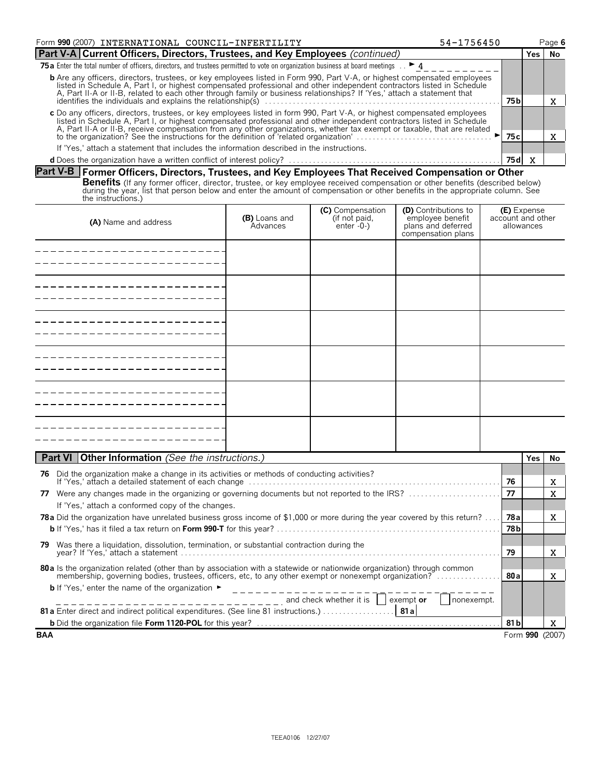| Form 990 (2007) INTERNATIONAL COUNCIL-INFERTILITY                                                                                                                                                                                                                                                                                                                                    | 54-1756450 |  | Page 6 |  |  |
|--------------------------------------------------------------------------------------------------------------------------------------------------------------------------------------------------------------------------------------------------------------------------------------------------------------------------------------------------------------------------------------|------------|--|--------|--|--|
| Part V-A Current Officers, Directors, Trustees, and Key Employees (continued)                                                                                                                                                                                                                                                                                                        |            |  |        |  |  |
| <b>75 a</b> Enter the total number of officers, directors, and trustees permitted to vote on organization business at board meetings $\therefore$ <b>4</b>                                                                                                                                                                                                                           |            |  |        |  |  |
| <b>b</b> Are any officers, directors, trustees, or key employees listed in Form 990, Part V-A, or highest compensated employees<br>listed in Schedule A, Part I, or highest compensated professional and other independent contractors listed in Schedule<br>A, Part II-A or II-B, related to each other through family or business relationships? If 'Yes,' attach a statement that |            |  |        |  |  |
| 75 bl                                                                                                                                                                                                                                                                                                                                                                                |            |  |        |  |  |
| c Do any officers, directors, trustees, or key employees listed in form 990, Part V-A, or highest compensated employees<br>listed in Schedule A, Part I, or highest compensated professional and other independent contractors listed in Schedule<br>A, Part II-A or II-B, receive compensation from any other organizations, whether tax exempt or taxable, that are related        |            |  |        |  |  |
|                                                                                                                                                                                                                                                                                                                                                                                      | 75 c l     |  |        |  |  |
| If 'Yes,' attach a statement that includes the information described in the instructions.                                                                                                                                                                                                                                                                                            |            |  |        |  |  |
|                                                                                                                                                                                                                                                                                                                                                                                      | 75 d I     |  |        |  |  |

### **Part V-B Former Officers, Directors, Trustees, and Key Employees That Received Compensation or Other**

**Benefits** (If any former officer, director, trustee, or key employee received compensation or other benefits (described below)<br>during the year, list that person below and enter the amount of compensation or other benefits the instructions.)

| (A) Name and address | (B) Loans and<br>Advances | <b>(C)</b> Compensation<br>(if not paid,<br>enter -0-) | <b>(D)</b> Contributions to<br>employee benefit<br>plans and deferred<br>compensation plans | <b>(E)</b> Expense<br>account and other<br>allowances |
|----------------------|---------------------------|--------------------------------------------------------|---------------------------------------------------------------------------------------------|-------------------------------------------------------|
|                      |                           |                                                        |                                                                                             |                                                       |
|                      |                           |                                                        |                                                                                             |                                                       |
|                      |                           |                                                        |                                                                                             |                                                       |
|                      |                           |                                                        |                                                                                             |                                                       |
|                      |                           |                                                        |                                                                                             |                                                       |
|                      |                           |                                                        |                                                                                             |                                                       |

| <b>Part VI   Other Information</b> (See the instructions.)                                                                                                     |       | Yes. | No.             |
|----------------------------------------------------------------------------------------------------------------------------------------------------------------|-------|------|-----------------|
| Did the organization make a change in its activities or methods of conducting activities?<br>76                                                                |       |      |                 |
|                                                                                                                                                                | 76    |      | x               |
| Were any changes made in the organizing or governing documents but not reported to the IRS?<br>77                                                              | 77    |      | X               |
| If 'Yes,' attach a conformed copy of the changes.                                                                                                              |       |      |                 |
| <b>78a</b> Did the organization have unrelated business gross income of \$1,000 or more during the year covered by this return?                                | 78al  |      | x               |
|                                                                                                                                                                | 78 bl |      |                 |
| Was there a liquidation, dissolution, termination, or substantial contraction during the<br>79.                                                                |       |      |                 |
|                                                                                                                                                                | 79    |      | X               |
| 80 a ls the organization related (other than by association with a statewide or nationwide organization) through common                                        |       |      |                 |
| membership, governing bodies, trustees, officers, etc, to any other exempt or nonexempt organization?                                                          | -80al |      | x               |
| <b>b</b> If 'Yes,' enter the name of the organization $\blacktriangleright$                                                                                    |       |      |                 |
| $\frac{1}{1}$ = $\frac{1}{1}$ = $\frac{1}{1}$ = $\frac{1}{1}$ = $\frac{1}{1}$ = $\frac{1}{1}$ and check whether it is $\frac{1}{1}$<br>exempt or<br>nonexempt. |       |      |                 |
|                                                                                                                                                                |       |      |                 |
|                                                                                                                                                                | 81 bl |      | X               |
| <b>BAA</b>                                                                                                                                                     |       |      | Form 990 (2007) |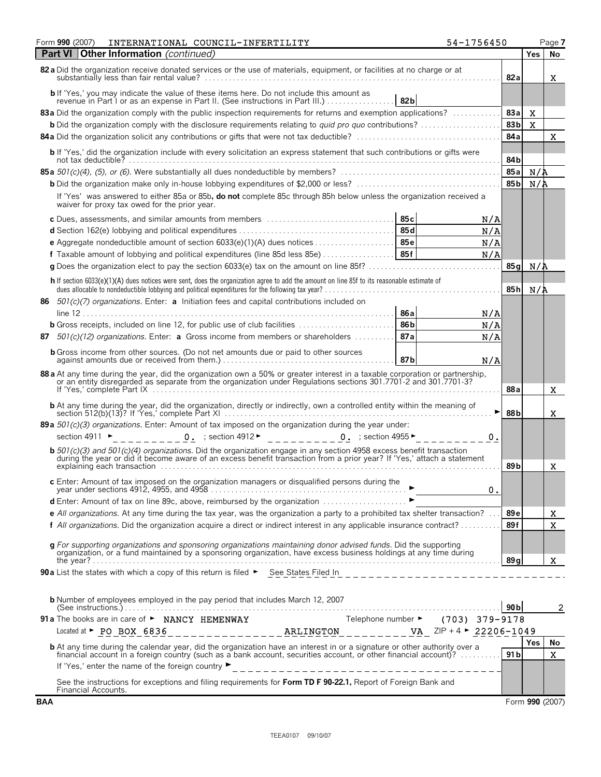| Form 990 (2007)<br>INTERNATIONAL COUNCIL-INFERTILITY                                                                                                                                                                                              | 54-1756450      |                 | Page 7         |
|---------------------------------------------------------------------------------------------------------------------------------------------------------------------------------------------------------------------------------------------------|-----------------|-----------------|----------------|
| Other Information (continued)<br><b>Part VI</b>                                                                                                                                                                                                   |                 | <b>Yes</b>      | No             |
| 82 a Did the organization receive donated services or the use of materials, equipment, or facilities at no charge or at                                                                                                                           | 82a             |                 | x              |
| 82b                                                                                                                                                                                                                                               |                 |                 |                |
| 83a Did the organization comply with the public inspection requirements for returns and exemption applications?                                                                                                                                   | 83a             | X               |                |
| <b>b</b> Did the organization comply with the disclosure requirements relating to <i>quid pro quo</i> contributions?                                                                                                                              | 83 <sub>b</sub> | X               |                |
|                                                                                                                                                                                                                                                   | 84a             |                 | X              |
| b If 'Yes,' did the organization include with every solicitation an express statement that such contributions or gifts were                                                                                                                       | 84b             |                 |                |
|                                                                                                                                                                                                                                                   | 85a             | N/A             |                |
|                                                                                                                                                                                                                                                   | 85 <sub>b</sub> | $N/\Lambda$     |                |
| If 'Yes' was answered to either 85a or 85b, do not complete 85c through 85h below unless the organization received a<br>waiver for proxy tax owed for the prior year.                                                                             |                 |                 |                |
| 85 с<br>c Dues, assessments, and similar amounts from members                                                                                                                                                                                     | N/A             |                 |                |
|                                                                                                                                                                                                                                                   | N/A             |                 |                |
|                                                                                                                                                                                                                                                   | N/A             |                 |                |
| f Taxable amount of lobbying and political expenditures (line 85d less 85e)  85f                                                                                                                                                                  | N/A             |                 |                |
|                                                                                                                                                                                                                                                   | 85 a            | N/A             |                |
| h If section 6033(e)(1)(A) dues notices were sent, does the organization agree to add the amount on line 85f to its reasonable estimate of                                                                                                        | 85h             | N/A             |                |
| $501(c)/7$ organizations. Enter: <b>a</b> Initiation fees and capital contributions included on<br>86                                                                                                                                             |                 |                 |                |
| 86 a                                                                                                                                                                                                                                              | N/A             |                 |                |
| 86b<br><b>b</b> Gross receipts, included on line 12, for public use of club facilities                                                                                                                                                            | N/A             |                 |                |
| 87a<br>$501(c)(12)$ organizations. Enter: a Gross income from members or shareholders<br>87                                                                                                                                                       | N/A             |                 |                |
| <b>b</b> Gross income from other sources. (Do not net amounts due or paid to other sources<br>87b                                                                                                                                                 | N/A             |                 |                |
| 88 a At any time during the year, did the organization own a 50% or greater interest in a taxable corporation or partnership,<br>or an entity disregarded as separate from the organization under Regulations sections 301.7701-2 and 301.7701-3? |                 |                 |                |
|                                                                                                                                                                                                                                                   | 88a             |                 | x              |
|                                                                                                                                                                                                                                                   | 88b             |                 | x              |
| 89 a $501(c)(3)$ organizations. Enter: Amount of tax imposed on the organization during the year under:                                                                                                                                           |                 |                 |                |
| 0. $;$ section 4912 $\blacktriangleright$<br>0. ; section 4955 $\blacktriangleright$<br>section 4911 ►                                                                                                                                            | о.              |                 |                |
|                                                                                                                                                                                                                                                   |                 |                 |                |
| <b>b</b> 501(c)(3) and 501(c)(4) organizations. Did the organization engage in any section 4958 excess benefit transaction during the year or did it become aware of an excess benefit transaction from a prior year? If 'Yes,' att               | 89 b            |                 | x              |
| c Enter: Amount of tax imposed on the organization managers or disqualified persons during the                                                                                                                                                    |                 |                 |                |
|                                                                                                                                                                                                                                                   | 0.              |                 |                |
| d Enter: Amount of tax on line 89c, above, reimbursed by the organization ►                                                                                                                                                                       |                 |                 |                |
| e All organizations. At any time during the tax year, was the organization a party to a prohibited tax shelter transaction? $\ldots$                                                                                                              | 89 e            |                 | X              |
| f All organizations. Did the organization acquire a direct or indirect interest in any applicable insurance contract?                                                                                                                             | 89f             |                 | $\mathbf X$    |
| g For supporting organizations and sponsoring organizations maintaining donor advised funds. Did the supporting                                                                                                                                   |                 |                 |                |
| organization, or a fund maintained by a sponsoring organization, have excess business holdings at any time during                                                                                                                                 | 89q             |                 | X              |
| 90 a List the states with which a copy of this return is filed > See States Filed In                                                                                                                                                              |                 |                 |                |
|                                                                                                                                                                                                                                                   |                 |                 |                |
| <b>b</b> Number of employees employed in the pay period that includes March 12, 2007                                                                                                                                                              | 90 bl           |                 | $\overline{c}$ |
| 91 a The books are in care of > NANCY HEMENWAY<br>Telephone number $\blacktriangleright$ (703) 379-9178                                                                                                                                           |                 |                 |                |
|                                                                                                                                                                                                                                                   |                 |                 |                |
| <b>b</b> At any time during the calendar year, did the organization have an interest in or a signature or other authority over a financial account in a foreign country (such as a bank account, securities account, or other finan               |                 | <b>Yes</b>      | No.            |
|                                                                                                                                                                                                                                                   | 91 bl           |                 | X.             |
|                                                                                                                                                                                                                                                   |                 |                 |                |
| See the instructions for exceptions and filing requirements for Form TD F 90-22.1, Report of Foreign Bank and<br>Financial Accounts.                                                                                                              |                 |                 |                |
| <b>BAA</b>                                                                                                                                                                                                                                        |                 | Form 990 (2007) |                |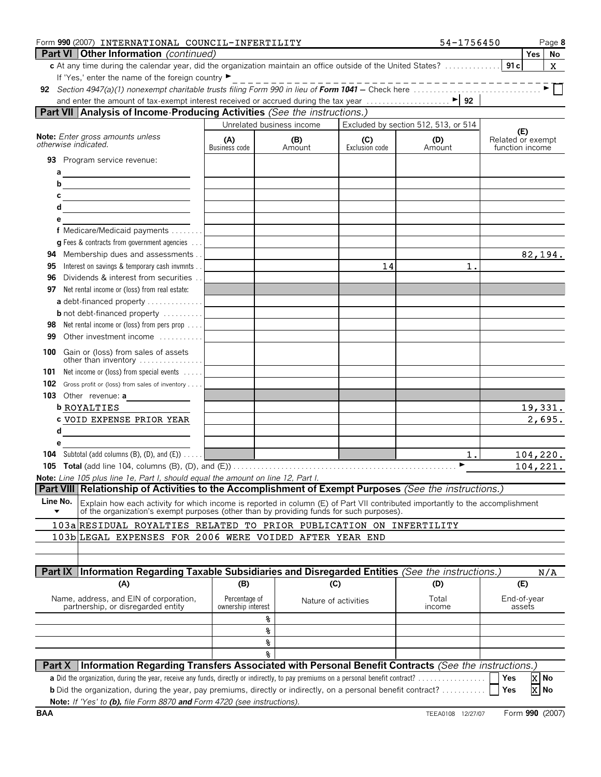| Form 990 (2007) INTERNATIONAL COUNCIL-INFERTILITY                                                                                          |                                     |                           |                       | 54-1756450                           |                                      | Page 8          |
|--------------------------------------------------------------------------------------------------------------------------------------------|-------------------------------------|---------------------------|-----------------------|--------------------------------------|--------------------------------------|-----------------|
| <b>Part VI Other Information</b> (continued)                                                                                               |                                     |                           |                       |                                      |                                      | Yes<br>No       |
| c At any time during the calendar year, did the organization maintain an office outside of the United States?                              |                                     |                           |                       |                                      | 91c                                  | X.              |
| If 'Yes,' enter the name of the foreign country ▶                                                                                          |                                     |                           |                       | -----------------                    |                                      |                 |
|                                                                                                                                            |                                     |                           |                       |                                      |                                      |                 |
| Part VII Analysis of Income-Producing Activities (See the instructions.)                                                                   |                                     |                           |                       |                                      |                                      |                 |
|                                                                                                                                            |                                     | Unrelated business income |                       | Excluded by section 512, 513, or 514 |                                      |                 |
| Note: Enter gross amounts unless                                                                                                           |                                     |                           |                       |                                      | (E)                                  |                 |
| otherwise indicated.                                                                                                                       | (A)<br>Business code                | (B)<br>Amount             | (C)<br>Exclusion code | (D)<br>Amount                        | Related or exempt<br>function income |                 |
| <b>93</b> Program service revenue:                                                                                                         |                                     |                           |                       |                                      |                                      |                 |
|                                                                                                                                            |                                     |                           |                       |                                      |                                      |                 |
|                                                                                                                                            |                                     |                           |                       |                                      |                                      |                 |
| $c \overline{\phantom{a}}$                                                                                                                 |                                     |                           |                       |                                      |                                      |                 |
| d                                                                                                                                          |                                     |                           |                       |                                      |                                      |                 |
| е                                                                                                                                          |                                     |                           |                       |                                      |                                      |                 |
| f Medicare/Medicaid payments                                                                                                               |                                     |                           |                       |                                      |                                      |                 |
| $q$ Fees & contracts from government agencies $\ldots$                                                                                     |                                     |                           |                       |                                      |                                      |                 |
| Membership dues and assessments<br>94                                                                                                      |                                     |                           |                       |                                      |                                      | 82,194.         |
| Interest on savings & temporary cash invmnts<br>95                                                                                         |                                     |                           | 14                    | 1.                                   |                                      |                 |
| Dividends & interest from securities<br>96                                                                                                 |                                     |                           |                       |                                      |                                      |                 |
| Net rental income or (loss) from real estate:<br>97                                                                                        |                                     |                           |                       |                                      |                                      |                 |
| a debt-financed property                                                                                                                   |                                     |                           |                       |                                      |                                      |                 |
| <b>b</b> not debt-financed property                                                                                                        |                                     |                           |                       |                                      |                                      |                 |
| Net rental income or (loss) from pers prop<br>98                                                                                           |                                     |                           |                       |                                      |                                      |                 |
| Other investment income<br>99                                                                                                              |                                     |                           |                       |                                      |                                      |                 |
| Gain or (loss) from sales of assets<br>100                                                                                                 |                                     |                           |                       |                                      |                                      |                 |
| other than inventory<br>Net income or (loss) from special events<br>101                                                                    |                                     |                           |                       |                                      |                                      |                 |
| 102<br>Gross profit or (loss) from sales of inventory                                                                                      |                                     |                           |                       |                                      |                                      |                 |
| 103 Other revenue: a                                                                                                                       |                                     |                           |                       |                                      |                                      |                 |
| <b>b ROYALTIES</b>                                                                                                                         |                                     |                           |                       |                                      |                                      | 19,331.         |
| <b>c VOID EXPENSE PRIOR YEAR</b>                                                                                                           |                                     |                           |                       |                                      |                                      | 2,695.          |
| d                                                                                                                                          |                                     |                           |                       |                                      |                                      |                 |
| е                                                                                                                                          |                                     |                           |                       |                                      |                                      |                 |
| <b>104</b> Subtotal (add columns $(B)$ , $(D)$ , and $(E)$ ) $\ldots$                                                                      |                                     |                           |                       | $1$ .                                |                                      | 104, 220.       |
|                                                                                                                                            |                                     |                           |                       | ►                                    |                                      | 104,221.        |
| Note: Line 105 plus line 1e, Part I, should equal the amount on line 12, Part I.                                                           |                                     |                           |                       |                                      |                                      |                 |
| Part VIII Relationship of Activities to the Accomplishment of Exempt Purposes (See the instructions.)                                      |                                     |                           |                       |                                      |                                      |                 |
| Line No.<br>Explain how each activity for which income is reported in column (E) of Part VII contributed importantly to the accomplishment |                                     |                           |                       |                                      |                                      |                 |
| of the organization's exempt purposes (other than by providing funds for such purposes).                                                   |                                     |                           |                       |                                      |                                      |                 |
| 103a RESIDUAL ROYALTIES RELATED TO PRIOR PUBLICATION ON INFERTILITY                                                                        |                                     |                           |                       |                                      |                                      |                 |
| 103b LEGAL EXPENSES FOR 2006 WERE VOIDED AFTER YEAR END                                                                                    |                                     |                           |                       |                                      |                                      |                 |
|                                                                                                                                            |                                     |                           |                       |                                      |                                      |                 |
| Part IX Information Regarding Taxable Subsidiaries and Disregarded Entities (See the instructions.)                                        |                                     |                           |                       |                                      |                                      | N/A             |
| (A)                                                                                                                                        | (B)                                 |                           | (C)                   | (D)                                  | (E)                                  |                 |
|                                                                                                                                            |                                     |                           |                       |                                      |                                      |                 |
| Name, address, and EIN of corporation,<br>partnership, or disregarded entity                                                               | Percentage of<br>ownership interest |                           | Nature of activities  | Total<br>income                      | End-of-year<br>assets                |                 |
|                                                                                                                                            | ୫                                   |                           |                       |                                      |                                      |                 |
|                                                                                                                                            | ៖                                   |                           |                       |                                      |                                      |                 |
|                                                                                                                                            | g.                                  |                           |                       |                                      |                                      |                 |
|                                                                                                                                            | ⊱                                   |                           |                       |                                      |                                      |                 |
| Information Regarding Transfers Associated with Personal Benefit Contracts (See the instructions.)<br>Part X                               |                                     |                           |                       |                                      |                                      |                 |
| a Did the organization, during the year, receive any funds, directly or indirectly, to pay premiums on a personal benefit contract?        |                                     |                           |                       |                                      | Yes                                  | X No            |
| <b>b</b> Did the organization, during the year, pay premiums, directly or indirectly, on a personal benefit contract?                      |                                     |                           |                       |                                      | Yes                                  | $\mathbf{X}$ No |
| Note: If 'Yes' to (b), file Form 8870 and Form 4720 (see instructions).                                                                    |                                     |                           |                       |                                      |                                      |                 |